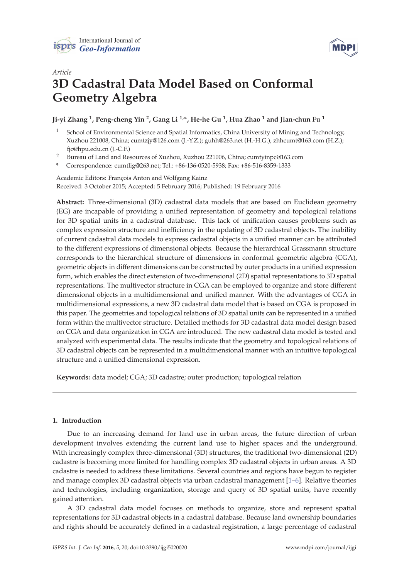



# *Article* **3D Cadastral Data Model Based on Conformal Geometry Algebra**

## **Ji-yi Zhang <sup>1</sup> , Peng-cheng Yin <sup>2</sup> , Gang Li 1,\*, He-he Gu <sup>1</sup> , Hua Zhao <sup>1</sup> and Jian-chun Fu <sup>1</sup>**

- <sup>1</sup> School of Environmental Science and Spatial Informatics, China University of Mining and Technology, Xuzhou 221008, China; cumtzjy@126.com (J.-Y.Z.); guhh@263.net (H.-H.G.); zhhcumt@163.com (H.Z.); fjc@hpu.edu.cn (J.-C.F.)
- <sup>2</sup> Bureau of Land and Resources of Xuzhou, Xuzhou 221006, China; cumtyinpc@163.com
- **\*** Correspondence: cumtlig@263.net; Tel.: +86-136-0520-5938; Fax: +86-516-8359-1333

## Academic Editors: François Anton and Wolfgang Kainz Received: 3 October 2015; Accepted: 5 February 2016; Published: 19 February 2016

**Abstract:** Three-dimensional (3D) cadastral data models that are based on Euclidean geometry (EG) are incapable of providing a unified representation of geometry and topological relations for 3D spatial units in a cadastral database. This lack of unification causes problems such as complex expression structure and inefficiency in the updating of 3D cadastral objects. The inability of current cadastral data models to express cadastral objects in a unified manner can be attributed to the different expressions of dimensional objects. Because the hierarchical Grassmann structure corresponds to the hierarchical structure of dimensions in conformal geometric algebra (CGA), geometric objects in different dimensions can be constructed by outer products in a unified expression form, which enables the direct extension of two-dimensional (2D) spatial representations to 3D spatial representations. The multivector structure in CGA can be employed to organize and store different dimensional objects in a multidimensional and unified manner. With the advantages of CGA in multidimensional expressions, a new 3D cadastral data model that is based on CGA is proposed in this paper. The geometries and topological relations of 3D spatial units can be represented in a unified form within the multivector structure. Detailed methods for 3D cadastral data model design based on CGA and data organization in CGA are introduced. The new cadastral data model is tested and analyzed with experimental data. The results indicate that the geometry and topological relations of 3D cadastral objects can be represented in a multidimensional manner with an intuitive topological structure and a unified dimensional expression.

**Keywords:** data model; CGA; 3D cadastre; outer production; topological relation

## **1. Introduction**

Due to an increasing demand for land use in urban areas, the future direction of urban development involves extending the current land use to higher spaces and the underground. With increasingly complex three-dimensional (3D) structures, the traditional two-dimensional (2D) cadastre is becoming more limited for handling complex 3D cadastral objects in urban areas. A 3D cadastre is needed to address these limitations. Several countries and regions have begun to register and manage complex 3D cadastral objects via urban cadastral management [1–6]. Relative theories and technologies, including organization, storage and query of 3D spatial units, have recently gained attention.

A 3D cadastral data model focuses on methods to organize, store and represent spatial representations for 3D cadastral objects in a cadastral database. Because land ownership boundaries and rights should be accurately defined in a cadastral registration, a large percentage of cadastral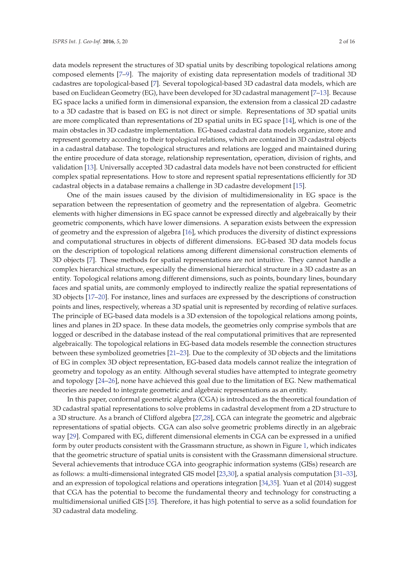data models represent the structures of 3D spatial units by describing topological relations among composed elements [7–9]. The majority of existing data representation models of traditional 3D cadastres are topological-based [7]. Several topological-based 3D cadastral data models, which are based on Euclidean Geometry (EG), have been developed for 3D cadastral management [7–13]. Because EG space lacks a unified form in dimensional expansion, the extension from a classical 2D cadastre to a 3D cadastre that is based on EG is not direct or simple. Representations of 3D spatial units are more complicated than representations of 2D spatial units in EG space [14], which is one of the main obstacles in 3D cadastre implementation. EG-based cadastral data models organize, store and represent geometry according to their topological relations, which are contained in 3D cadastral objects in a cadastral database. The topological structures and relations are logged and maintained during the entire procedure of data storage, relationship representation, operation, division of rights, and validation [13]. Universally accepted 3D cadastral data models have not been constructed for efficient complex spatial representations. How to store and represent spatial representations efficiently for 3D cadastral objects in a database remains a challenge in 3D cadastre development [15].

One of the main issues caused by the division of multidimensionality in EG space is the separation between the representation of geometry and the representation of algebra. Geometric elements with higher dimensions in EG space cannot be expressed directly and algebraically by their geometric components, which have lower dimensions. A separation exists between the expression of geometry and the expression of algebra [16], which produces the diversity of distinct expressions and computational structures in objects of different dimensions. EG-based 3D data models focus on the description of topological relations among different dimensional construction elements of 3D objects [7]. These methods for spatial representations are not intuitive. They cannot handle a complex hierarchical structure, especially the dimensional hierarchical structure in a 3D cadastre as an entity. Topological relations among different dimensions, such as points, boundary lines, boundary faces and spatial units, are commonly employed to indirectly realize the spatial representations of 3D objects [17–20]. For instance, lines and surfaces are expressed by the descriptions of construction points and lines, respectively, whereas a 3D spatial unit is represented by recording of relative surfaces. The principle of EG-based data models is a 3D extension of the topological relations among points, lines and planes in 2D space. In these data models, the geometries only comprise symbols that are logged or described in the database instead of the real computational primitives that are represented algebraically. The topological relations in EG-based data models resemble the connection structures between these symbolized geometries [21–23]. Due to the complexity of 3D objects and the limitations of EG in complex 3D object representation, EG-based data models cannot realize the integration of geometry and topology as an entity. Although several studies have attempted to integrate geometry and topology [24–26], none have achieved this goal due to the limitation of EG. New mathematical theories are needed to integrate geometric and algebraic representations as an entity.

In this paper, conformal geometric algebra (CGA) is introduced as the theoretical foundation of 3D cadastral spatial representations to solve problems in cadastral development from a 2D structure to a 3D structure. As a branch of Clifford algebra [27,28], CGA can integrate the geometric and algebraic representations of spatial objects. CGA can also solve geometric problems directly in an algebraic way [29]. Compared with EG, different dimensional elements in CGA can be expressed in a unified form by outer products consistent with the Grassmann structure, as shown in Figure 1, which indicates that the geometric structure of spatial units is consistent with the Grassmann dimensional structure. Several achievements that introduce CGA into geographic information systems (GISs) research are as follows: a multi-dimensional integrated GIS model [23,30], a spatial analysis computation [31–33], and an expression of topological relations and operations integration [34,35]. Yuan et al (2014) suggest that CGA has the potential to become the fundamental theory and technology for constructing a multidimensional unified GIS [35]. Therefore, it has high potential to serve as a solid foundation for 3D cadastral data modeling.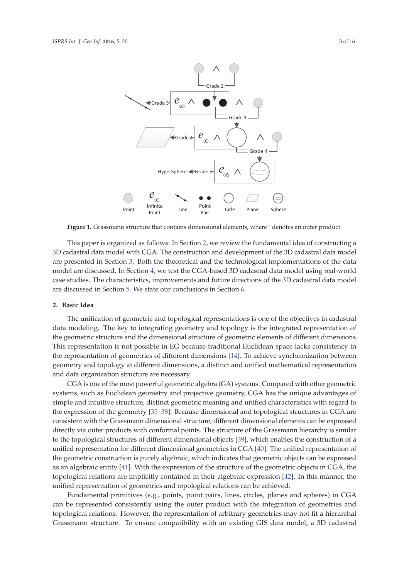

Figure 1. Grassmann structure that contains dimensional elements, where  $\hat{ }$  denotes an outer product.

This paper is organized as follows: In Section 2, we review the fundamental idea of constructing a 3D cadastral data model with CGA. The construction and development of the 3D cadastral data model are presented in Section 3. Both the theoretical and the technological implementations of the data model are discussed. In Section 4, we test the CGA-based 3D cadastral data model using real-world case studies. The characteristics, improvements and future directions of the 3D cadastral data model are discussed in Section 5. We state our conclusions in Section 6.

## **2. Basic Idea**

The unification of geometric and topological representations is one of the objectives in cadastral data modeling. The key to integrating geometry and topology is the integrated representation of the geometric structure and the dimensional structure of geometric elements of different dimensions. This representation is not possible in EG because traditional Euclidean space lacks consistency in the representation of geometries of different dimensions [14]. To achieve synchronization between geometry and topology at different dimensions, a distinct and unified mathematical representation and data organization structure are necessary.

CGA is one of the most powerful geometric algebra (GA) systems. Compared with other geometric systems, such as Euclidean geometry and projective geometry, CGA has the unique advantages of simple and intuitive structure, distinct geometric meaning and unified characteristics with regard to the expression of the geometry [35–38]. Because dimensional and topological structures in CGA are consistent with the Grassmann dimensional structure, different dimensional elements can be expressed directly via outer products with conformal points. The structure of the Grassmann hierarchy is similar to the topological structures of different dimensional objects [39], which enables the construction of a unified representation for different dimensional geometries in CGA [40]. The unified representation of the geometric construction is purely algebraic, which indicates that geometric objects can be expressed as an algebraic entity [41]. With the expression of the structure of the geometric objects in CGA, the topological relations are implicitly contained in their algebraic expression [42]. In this manner, the unified representation of geometries and topological relations can be achieved.

Fundamental primitives (e.g., points, point pairs, lines, circles, planes and spheres) in CGA can be represented consistently using the outer product with the integration of geometries and topological relations. However, the representation of arbitrary geometries may not fit a hierarchal Grassmann structure. To ensure compatibility with an existing GIS data model, a 3D cadastral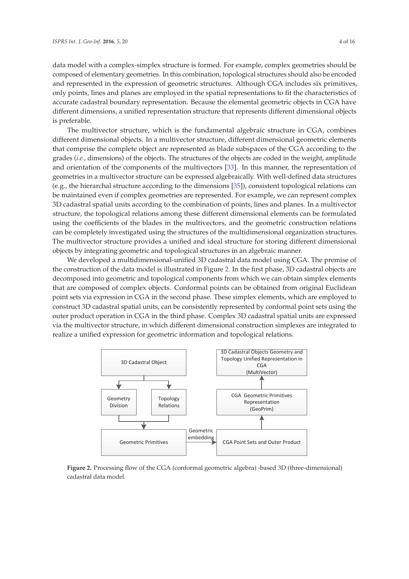data model with a complex-simplex structure is formed. For example, complex geometries should be composed of elementary geometries. In this combination, topological structures should also be encoded and represented in the expression of geometric structures. Although CGA includes six primitives, only points, lines and planes are employed in the spatial representations to fit the characteristics of accurate cadastral boundary representation. Because the elemental geometric objects in CGA have different dimensions, a unified representation structure that represents different dimensional objects is preferable.

The multivector structure, which is the fundamental algebraic structure in CGA, combines different dimensional objects. In a multivector structure, different dimensional geometric elements that comprise the complete object are represented as blade subspaces of the CGA according to the grades (*i.e.*, dimensions) of the objects. The structures of the objects are coded in the weight, amplitude and orientation of the components of the multivectors [33]. In this manner, the representation of geometries in a multivector structure can be expressed algebraically. With well-defined data structures (e.g., the hierarchal structure according to the dimensions [35]), consistent topological relations can be maintained even if complex geometries are represented. For example, we can represent complex 3D cadastral spatial units according to the combination of points, lines and planes. In a multivector structure, the topological relations among these different dimensional elements can be formulated using the coefficients of the blades in the multivectors, and the geometric construction relations can be completely investigated using the structures of the multidimensional organization structures. The multivector structure provides a unified and ideal structure for storing different dimensional objects by integrating geometric and topological structures in an algebraic manner.

We developed a multidimensional-unified 3D cadastral data model using CGA. The premise of the construction of the data model is illustrated in Figure 2. In the first phase, 3D cadastral objects are decomposed into geometric and topological components from which we can obtain simplex elements that are composed of complex objects. Conformal points can be obtained from original Euclidean point sets via expression in CGA in the second phase. These simplex elements, which are employed to construct 3D cadastral spatial units, can be consistently represented by conformal point sets using the outer product operation in CGA in the third phase. Complex 3D cadastral spatial units are expressed via the multivector structure, in which different dimensional construction simplexes are integrated to realize a unified expression for geometric information and topological relations.



**Figure 2.** Processing flow of the CGA (conformal geometric algebra) -based 3D (three-dimensional) cadastral data model.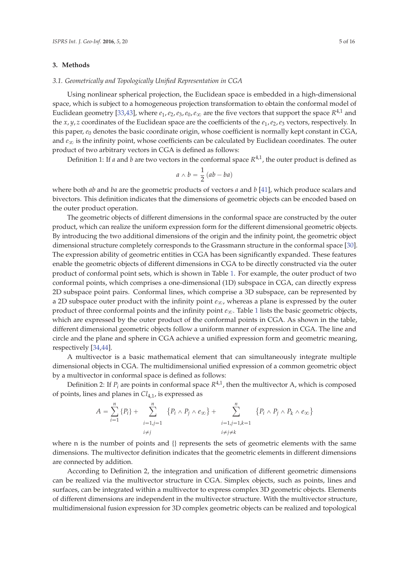#### **3. Methods**

#### *3.1. Geometrically and Topologically Unified Representation in CGA*

Using nonlinear spherical projection, the Euclidean space is embedded in a high-dimensional space, which is subject to a homogeneous projection transformation to obtain the conformal model of Euclidean geometry [33,43], where  $e_1$ ,  $e_2$ ,  $e_3$ ,  $e_0$ ,  $e_\infty$  are the five vectors that support the space  $R^{4,1}$  and the *x*, *y*, *z* coordinates of the Euclidean space are the coefficients of the *e*1,*e*2,*e*<sup>3</sup> vectors, respectively. In this paper, *e*<sup>0</sup> denotes the basic coordinate origin, whose coefficient is normally kept constant in CGA, and  $e_{\infty}$  is the infinity point, whose coefficients can be calculated by Euclidean coordinates. The outer product of two arbitrary vectors in CGA is defined as follows:

Definition 1: If *a* and *b* are two vectors in the conformal space  $R^{4,1}$ , the outer product is defined as

$$
a \wedge b = \frac{1}{2} (ab - ba)
$$

where both *ab* and *ba* are the geometric products of vectors *a* and *b* [41], which produce scalars and bivectors. This definition indicates that the dimensions of geometric objects can be encoded based on the outer product operation.

The geometric objects of different dimensions in the conformal space are constructed by the outer product, which can realize the uniform expression form for the different dimensional geometric objects. By introducing the two additional dimensions of the origin and the infinity point, the geometric object dimensional structure completely corresponds to the Grassmann structure in the conformal space [30]. The expression ability of geometric entities in CGA has been significantly expanded. These features enable the geometric objects of different dimensions in CGA to be directly constructed via the outer product of conformal point sets, which is shown in Table 1. For example, the outer product of two conformal points, which comprises a one-dimensional (1D) subspace in CGA, can directly express 2D subspace point pairs. Conformal lines, which comprise a 3D subspace, can be represented by a 2D subspace outer product with the infinity point  $e_{\infty}$ , whereas a plane is expressed by the outer product of three conformal points and the infinity point  $e_{\infty}$ . Table 1 lists the basic geometric objects, which are expressed by the outer product of the conformal points in CGA. As shown in the table, different dimensional geometric objects follow a uniform manner of expression in CGA. The line and circle and the plane and sphere in CGA achieve a unified expression form and geometric meaning, respectively [34,44].

A multivector is a basic mathematical element that can simultaneously integrate multiple dimensional objects in CGA. The multidimensional unified expression of a common geometric object by a multivector in conformal space is defined as follows:

Definition 2: If  $P_i$  are points in conformal space  $R^{4,1}$ , then the multivector A, which is composed of points, lines and planes in *Cl*4,1, is expressed as

$$
A = \sum_{i=1}^{n} \{P_i\} + \sum_{\substack{i=1, j=1 \ i \neq j}}^{n} \{P_i \wedge P_j \wedge e_{\infty}\} + \sum_{\substack{i=1, j=1, k=1 \ i \neq j \neq k}}^{n} \{P_i \wedge P_j \wedge P_k \wedge e_{\infty}\}
$$

where n is the number of points and {} represents the sets of geometric elements with the same dimensions. The multivector definition indicates that the geometric elements in different dimensions are connected by addition.

According to Definition 2, the integration and unification of different geometric dimensions can be realized via the multivector structure in CGA. Simplex objects, such as points, lines and surfaces, can be integrated within a multivector to express complex 3D geometric objects. Elements of different dimensions are independent in the multivector structure. With the multivector structure, multidimensional fusion expression for 3D complex geometric objects can be realized and topological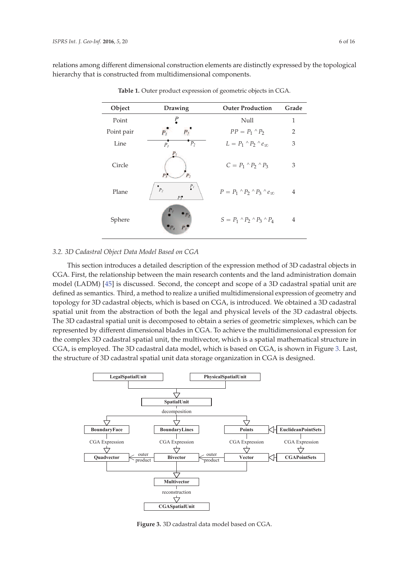relations among different dimensional construction elements are distinctly expressed by the topological hierarchy that is constructed from multidimensional components.

| Object     | Drawing                                     | <b>Outer Production</b>                           | Grade          |
|------------|---------------------------------------------|---------------------------------------------------|----------------|
| Point      |                                             | Null                                              | 1              |
| Point pair |                                             | $PP = P_1 \wedge P_2$                             | $\overline{2}$ |
| Line       | $P_2$<br>P <sub>1</sub>                     | $L = P_1 \wedge P_2 \wedge e_{\infty}$            | 3              |
| Circle     | $P_{I}$<br>P <sub>2</sub><br>$\overline{P}$ | $C = P_1 \wedge P_2 \wedge P_3$                   | 3              |
| Plane      | $P_{l}$<br>$P_2$<br>P <sub>3</sub>          | $P = P_1 \wedge P_2 \wedge P_3 \wedge e_{\infty}$ | 4              |
| Sphere     | $P_1$                                       | $S = P_1 \wedge P_2 \wedge P_3 \wedge P_4$        | 4              |

**Table 1.** Outer product expression of geometric objects in CGA.

#### *3.2. 3D Cadastral Object Data Model Based on CGA*

This section introduces a detailed description of the expression method of 3D cadastral objects in CGA. First, the relationship between the main research contents and the land administration domain model (LADM) [45] is discussed. Second, the concept and scope of a 3D cadastral spatial unit are defined as semantics. Third, a method to realize a unified multidimensional expression of geometry and topology for 3D cadastral objects, which is based on CGA, is introduced. We obtained a 3D cadastral spatial unit from the abstraction of both the legal and physical levels of the 3D cadastral objects. The 3D cadastral spatial unit is decomposed to obtain a series of geometric simplexes, which can be represented by different dimensional blades in CGA. To achieve the multidimensional expression for the complex 3D cadastral spatial unit, the multivector, which is a spatial mathematical structure in CGA, is employed. The 3D cadastral data model, which is based on CGA, is shown in Figure 3. Last, the structure of 3D cadastral spatial unit data storage organization in CGA is designed.



**Figure 3.** 3D cadastral data model based on CGA.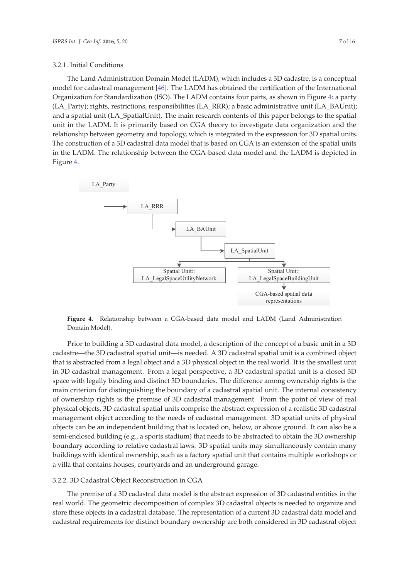#### 3.2.1. Initial Conditions

The Land Administration Domain Model (LADM), which includes a 3D cadastre, is a conceptual model for cadastral management [46]. The LADM has obtained the certification of the International Organization for Standardization (ISO). The LADM contains four parts, as shown in Figure 4: a party (LA\_Party); rights, restrictions, responsibilities (LA\_RRR); a basic administrative unit (LA\_BAUnit); and a spatial unit (LA\_SpatialUnit). The main research contents of this paper belongs to the spatial unit in the LADM. It is primarily based on CGA theory to investigate data organization and the relationship between geometry and topology, which is integrated in the expression for 3D spatial units. The construction of a 3D cadastral data model that is based on CGA is an extension of the spatial units in the LADM. The relationship between the CGA-based data model and the LADM is depicted in Figure 4.



**Figure 4.** Relationship between a CGA-based data model and LADM (Land Administration Domain Model).

Prior to building a 3D cadastral data model, a description of the concept of a basic unit in a 3D cadastre—the 3D cadastral spatial unit—is needed. A 3D cadastral spatial unit is a combined object that is abstracted from a legal object and a 3D physical object in the real world. It is the smallest unit in 3D cadastral management. From a legal perspective, a 3D cadastral spatial unit is a closed 3D space with legally binding and distinct 3D boundaries. The difference among ownership rights is the main criterion for distinguishing the boundary of a cadastral spatial unit. The internal consistency of ownership rights is the premise of 3D cadastral management. From the point of view of real physical objects, 3D cadastral spatial units comprise the abstract expression of a realistic 3D cadastral management object according to the needs of cadastral management. 3D spatial units of physical objects can be an independent building that is located on, below, or above ground. It can also be a semi-enclosed building (e.g., a sports stadium) that needs to be abstracted to obtain the 3D ownership boundary according to relative cadastral laws. 3D spatial units may simultaneously contain many buildings with identical ownership, such as a factory spatial unit that contains multiple workshops or a villa that contains houses, courtyards and an underground garage.

#### 3.2.2. 3D Cadastral Object Reconstruction in CGA

The premise of a 3D cadastral data model is the abstract expression of 3D cadastral entities in the real world. The geometric decomposition of complex 3D cadastral objects is needed to organize and store these objects in a cadastral database. The representation of a current 3D cadastral data model and cadastral requirements for distinct boundary ownership are both considered in 3D cadastral object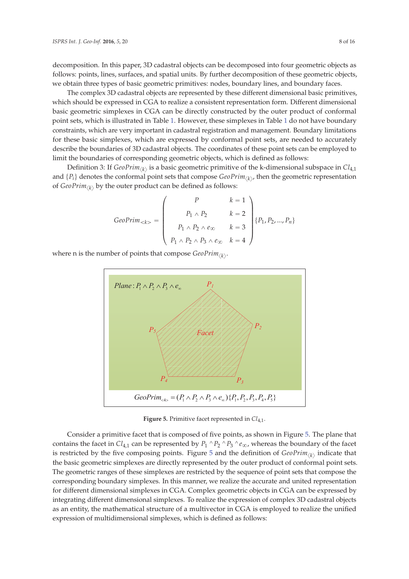decomposition. In this paper, 3D cadastral objects can be decomposed into four geometric objects as follows: points, lines, surfaces, and spatial units. By further decomposition of these geometric objects, we obtain three types of basic geometric primitives: nodes, boundary lines, and boundary faces.

The complex 3D cadastral objects are represented by these different dimensional basic primitives, which should be expressed in CGA to realize a consistent representation form. Different dimensional basic geometric simplexes in CGA can be directly constructed by the outer product of conformal point sets, which is illustrated in Table 1. However, these simplexes in Table 1 do not have boundary constraints, which are very important in cadastral registration and management. Boundary limitations for these basic simplexes, which are expressed by conformal point sets, are needed to accurately describe the boundaries of 3D cadastral objects. The coordinates of these point sets can be employed to limit the boundaries of corresponding geometric objects, which is defined as follows:

Definition 3: If  $GeoPrim_{\langle{k}\rangle}$  is a basic geometric primitive of the k-dimensional subspace in  $Cl_{4,1}$ and  $\{P_i\}$  denotes the conformal point sets that compose  $GeoPrim_{\langle k \rangle}$ , then the geometric representation of *GeoPrim*<sub> $\langle k \rangle$ </sub> by the outer product can be defined as follows: and  $\mathbf{a}$ 

$$
GeoPrim_{<>}\n=\n\begin{pmatrix}\nP & k=1 \\
P_1 \wedge P_2 & k=2 \\
P_1 \wedge P_2 \wedge e_\infty & k=3 \\
P_1 \wedge P_2 \wedge P_3 \wedge e_\infty & k=4\n\end{pmatrix}\n\{P_1, P_2, ..., P_n\}
$$

where n is the number of points that compose  $GeoPrim_{\langle{k}\rangle}$ .



**Figure 5.** Primitive facet represented in  $Cl_{4,1}$ .

contains the facet in  $Cl_{4,1}$  can be represented by  $P_1 \wedge P_2 \wedge P_3 \wedge e_\infty$ , whereas the boundary of the facet is restricted by the five composing points. Figure 5 and the definition of  $GeoPrim_{\langle k \rangle}$  indicate that Consider a primitive facet that is composed of five points, as shown in Figure 5. The plane that the basic geometric simplexes are directly represented by the outer product of conformal point sets. The geometric ranges of these simplexes are restricted by the sequence of point sets that compose the corresponding boundary simplexes. In this manner, we realize the accurate and united representation for different dimensional simplexes in CGA. Complex geometric objects in CGA can be expressed by integrating different dimensional simplexes. To realize the expression of complex 3D cadastral objects as an entity, the mathematical structure of a multivector in CGA is employed to realize the unified expression of multidimensional simplexes, which is defined as follows: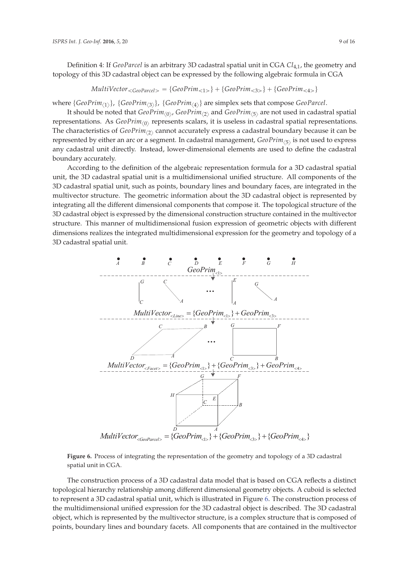Definition 4: If *GeoParcel* is an arbitrary 3D cadastral spatial unit in CGA *Cl*<sub>4,1</sub>, the geometry and topology of this 3D cadastral object can be expressed by the following algebraic formula in CGA

 $MultiVector_{} = {GeoPrim_{<1>}} + {GeoPrim_{<3>}} + {GeoPrim_{<4>}}$ 

where  $\{GeoPrim_{\langle 1 \rangle}\}$ ,  $\{GeoPrim_{\langle 3 \rangle}\}$ ,  $\{GeoPrim_{\langle 4 \rangle}\}$  are simplex sets that compose  $GeoParcel$ .

It should be noted that *GeoPrim<sub>〈0〉</sub>, GeoPrim<sub>〈2〉</sub>* and *GeoPrim<sub>〈5〉</sub>* are not used in cadastral spatial representations. As *GeoPrim*<sub>(0)</sub> represents scalars, it is useless in cadastral spatial representations. The characteristics of *GeoPrim*<sub> $\langle 2 \rangle$ </sub> cannot accurately express a cadastral boundary because it can be represented by either an arc or a segment. In cadastral management, *GeoPrim*<sub> $\langle 5 \rangle$ </sub> is not used to express any cadastral unit directly. Instead, lower-dimensional elements are used to define the cadastral boundary accurately.

According to the definition of the algebraic representation formula for a 3D cadastral spatial unit, the 3D cadastral spatial unit is a multidimensional unified structure. All components of the 3D cadastral spatial unit, such as points, boundary lines and boundary faces, are integrated in the multivector structure. The geometric information about the 3D cadastral object is represented by integrating all the different dimensional components that compose it. The topological structure of the 3D cadastral object is expressed by the dimensional construction structure contained in the multivector structure. This manner of multidimensional fusion expression of geometric objects with different dimensions realizes the integrated multidimensional expression for the geometry and topology of a 3D cadastral spatial unit.



**Figure 6.** Process of integrating the representation of the geometry and topology of a 3D cadastral spatial unit in CGA.

The construction process of a 3D cadastral data model that is based on CGA reflects a distinct topological hierarchy relationship among different dimensional geometry objects. A cuboid is selected to represent a 3D cadastral spatial unit, which is illustrated in Figure 6. The construction process of the multidimensional unified expression for the 3D cadastral object is described. The 3D cadastral object, which is represented by the multivector structure, is a complex structure that is composed of points, boundary lines and boundary facets. All components that are contained in the multivector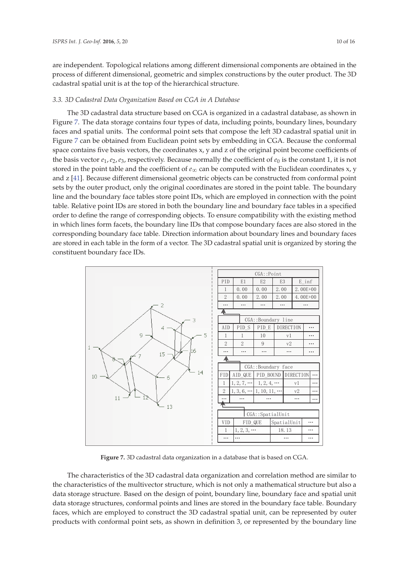are independent. Topological relations among different dimensional components are obtained in the process of different dimensional, geometric and simplex constructions by the outer product. The 3D cadastral spatial unit is at the top of the hierarchical structure.

#### *3.3. 3D Cadastral Data Organization Based on CGA in A Database*

The 3D cadastral data structure based on CGA is organized in a cadastral database, as shown in Figure 7. The data storage contains four types of data, including points, boundary lines, boundary faces and spatial units. The conformal point sets that compose the left 3D cadastral spatial unit in Figure 7 can be obtained from Euclidean point sets by embedding in CGA. Because the conformal space contains five basis vectors, the coordinates x, y and z of the original point become coefficients of the basis vector  $e_1$ ,  $e_2$ ,  $e_3$ , respectively. Because normally the coefficient of  $e_0$  is the constant 1, it is not stored in the point table and the coefficient of  $e_{\infty}$  can be computed with the Euclidean coordinates x, y and z [41]. Because different dimensional geometric objects can be constructed from conformal point ݁<sup>ஶ</sup> sets by the outer product, only the original coordinates are stored in the point table. The boundary line and the boundary face tables store point IDs, which are employed in connection with the point table. Relative point IDs are stored in both the boundary line and boundary face tables in a specified order to define the range of corresponding objects. To ensure compatibility with the existing method in which lines form facets, the boundary line IDs that compose boundary faces are also stored in the corresponding boundary face table. Direction information about boundary lines and boundary faces are stored in each table in the form of a vector. The 3D cadastral spatial unit is organized by storing the constituent boundary face IDs.



**Figure 7.** 3D cadastral data organization in a database that is based on CGA.

The characteristics of the 3D cadastral data organization and correlation method are similar to the characteristics of the multivector structure, which is not only a mathematical structure but also a data storage structure. Based on the design of point, boundary line, boundary face and spatial unit data storage structures, conformal points and lines are stored in the boundary face table. Boundary faces, which are employed to construct the 3D cadastral spatial unit, can be represented by outer products with conformal point sets, as shown in definition 3, or represented by the boundary line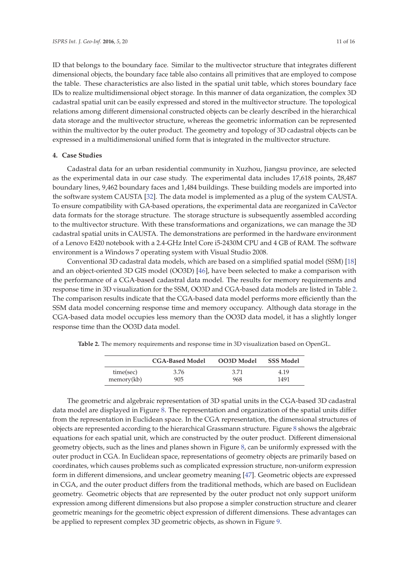ID that belongs to the boundary face. Similar to the multivector structure that integrates different dimensional objects, the boundary face table also contains all primitives that are employed to compose the table. These characteristics are also listed in the spatial unit table, which stores boundary face IDs to realize multidimensional object storage. In this manner of data organization, the complex 3D cadastral spatial unit can be easily expressed and stored in the multivector structure. The topological relations among different dimensional constructed objects can be clearly described in the hierarchical data storage and the multivector structure, whereas the geometric information can be represented within the multivector by the outer product. The geometry and topology of 3D cadastral objects can be expressed in a multidimensional unified form that is integrated in the multivector structure.

#### **4. Case Studies**

Cadastral data for an urban residential community in Xuzhou, Jiangsu province, are selected as the experimental data in our case study. The experimental data includes 17,618 points, 28,487 boundary lines, 9,462 boundary faces and 1,484 buildings. These building models are imported into the software system CAUSTA [32]. The data model is implemented as a plug of the system CAUSTA. To ensure compatibility with GA-based operations, the experimental data are reorganized in CaVector data formats for the storage structure. The storage structure is subsequently assembled according to the multivector structure. With these transformations and organizations, we can manage the 3D cadastral spatial units in CAUSTA. The demonstrations are performed in the hardware environment of a Lenovo E420 notebook with a 2.4-GHz Intel Core i5-2430M CPU and 4 GB of RAM. The software environment is a Windows 7 operating system with Visual Studio 2008.

Conventional 3D cadastral data models, which are based on a simplified spatial model (SSM) [18] and an object-oriented 3D GIS model (OO3D) [46], have been selected to make a comparison with the performance of a CGA-based cadastral data model. The results for memory requirements and response time in 3D visualization for the SSM, OO3D and CGA-based data models are listed in Table 2. The comparison results indicate that the CGA-based data model performs more efficiently than the SSM data model concerning response time and memory occupancy. Although data storage in the CGA-based data model occupies less memory than the OO3D data model, it has a slightly longer response time than the OO3D data model.

|            | <b>CGA-Based Model</b> | OO3D Model | <b>SSS Model</b> |
|------------|------------------------|------------|------------------|
| time(sec)  | 3.76                   | 3.71       | 4.19             |
| memory(kb) | 905                    | 968        | 1491             |

**Table 2.** The memory requirements and response time in 3D visualization based on OpenGL.

The geometric and algebraic representation of 3D spatial units in the CGA-based 3D cadastral data model are displayed in Figure 8. The representation and organization of the spatial units differ from the representation in Euclidean space. In the CGA representation, the dimensional structures of objects are represented according to the hierarchical Grassmann structure. Figure 8 shows the algebraic equations for each spatial unit, which are constructed by the outer product. Different dimensional geometry objects, such as the lines and planes shown in Figure 8, can be uniformly expressed with the outer product in CGA. In Euclidean space, representations of geometry objects are primarily based on coordinates, which causes problems such as complicated expression structure, non-uniform expression form in different dimensions, and unclear geometry meaning [47]. Geometric objects are expressed in CGA, and the outer product differs from the traditional methods, which are based on Euclidean geometry. Geometric objects that are represented by the outer product not only support uniform expression among different dimensions but also propose a simpler construction structure and clearer geometric meanings for the geometric object expression of different dimensions. These advantages can be applied to represent complex 3D geometric objects, as shown in Figure 9.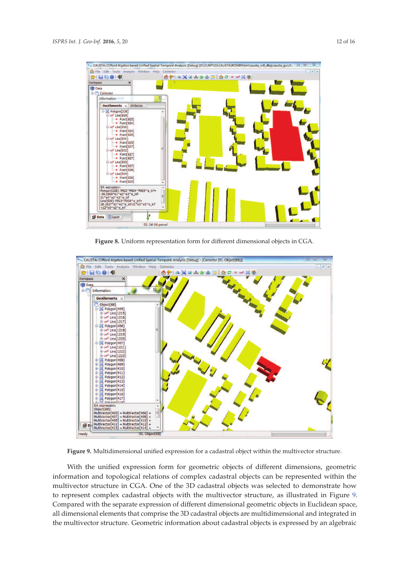| Int File Edit Tools Analysis Window Help CaVector<br><b>DIGGOO</b>                                                                                                                                                                                                                                                                                                                                         |          | 6 NX 3 A 3 4 5 4 5 4 5 4 5 | $  -$ |
|------------------------------------------------------------------------------------------------------------------------------------------------------------------------------------------------------------------------------------------------------------------------------------------------------------------------------------------------------------------------------------------------------------|----------|----------------------------|-------|
| Workspace<br>$\mathsf{x}$                                                                                                                                                                                                                                                                                                                                                                                  |          |                            |       |
| <b>Data</b><br><b>E-CaVector</b>                                                                                                                                                                                                                                                                                                                                                                           |          |                            |       |
| Information                                                                                                                                                                                                                                                                                                                                                                                                | $\Sigma$ |                            |       |
| GeoElements x Attibutes                                                                                                                                                                                                                                                                                                                                                                                    |          |                            |       |
| Polygon[228]<br>白 > Line[929]<br>$-$ Point[923]<br>$\blacksquare$ Point[924]<br><b>El se<sup>€</sup> Line[930]</b><br>$-$ Point[924]<br>$-$ Point [925]<br>E 24 Line [931]<br>$-$ Point 9251<br>$-$ Point 9271<br><b>E-se-Line[932]</b><br>$-$ Point [927]<br>$\blacksquare$ Point[927]<br>白 > Line[933]<br>$-$ Point [927]<br>$-$ Point[926]<br><b>E-se-Line[934]</b><br>$-$ Point[926]<br>$-$ Point[923] |          |                            |       |
| <b>GA</b> expression:<br>Polvgon(2281: P923^P924^P925^e_inf=<br>-59.2964*e1^e2^e3^e_nf-<br>21"e0^e2^e3^e_inf<br>Line[929]: P923^P924^e_inf=<br>26.1637*e1^e2^e inf-21*e2^e3^e inf<br>+12*e0^e2^e_inf<br>Υ<br><b>Boata <b></b> En Layer</b>                                                                                                                                                                 | н        |                            |       |

**Figure 8.** Uniform representation form for different dimensional objects in CGA.



**Figure 9.** Multidimensional unified expression for a cadastral object within the multivector structure.

With the unified expression form for geometric objects of different dimensions, geometric information and topological relations of complex cadastral objects can be represented within the multivector structure in CGA. One of the 3D cadastral objects was selected to demonstrate how to represent complex cadastral objects with the multivector structure, as illustrated in Figure 9. Compared with the separate expression of different dimensional geometric objects in Euclidean space, all dimensional elements that comprise the 3D cadastral objects are multidimensional and integrated in the multivector structure. Geometric information about cadastral objects is expressed by an algebraic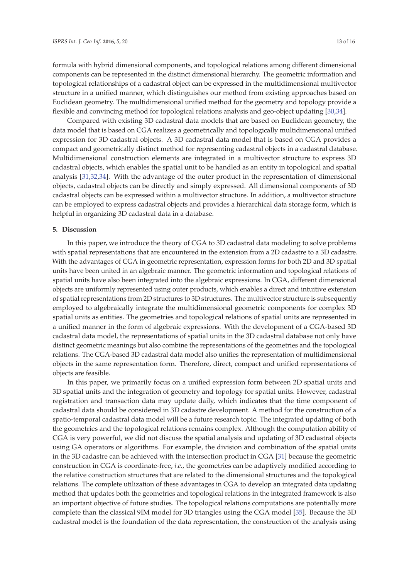formula with hybrid dimensional components, and topological relations among different dimensional components can be represented in the distinct dimensional hierarchy. The geometric information and topological relationships of a cadastral object can be expressed in the multidimensional multivector structure in a unified manner, which distinguishes our method from existing approaches based on Euclidean geometry. The multidimensional unified method for the geometry and topology provide a flexible and convincing method for topological relations analysis and geo-object updating [30,34].

Compared with existing 3D cadastral data models that are based on Euclidean geometry, the data model that is based on CGA realizes a geometrically and topologically multidimensional unified expression for 3D cadastral objects. A 3D cadastral data model that is based on CGA provides a compact and geometrically distinct method for representing cadastral objects in a cadastral database. Multidimensional construction elements are integrated in a multivector structure to express 3D cadastral objects, which enables the spatial unit to be handled as an entity in topological and spatial analysis [31,32,34]. With the advantage of the outer product in the representation of dimensional objects, cadastral objects can be directly and simply expressed. All dimensional components of 3D cadastral objects can be expressed within a multivector structure. In addition, a multivector structure can be employed to express cadastral objects and provides a hierarchical data storage form, which is helpful in organizing 3D cadastral data in a database.

## **5. Discussion**

In this paper, we introduce the theory of CGA to 3D cadastral data modeling to solve problems with spatial representations that are encountered in the extension from a 2D cadastre to a 3D cadastre. With the advantages of CGA in geometric representation, expression forms for both 2D and 3D spatial units have been united in an algebraic manner. The geometric information and topological relations of spatial units have also been integrated into the algebraic expressions. In CGA, different dimensional objects are uniformly represented using outer products, which enables a direct and intuitive extension of spatial representations from 2D structures to 3D structures. The multivector structure is subsequently employed to algebraically integrate the multidimensional geometric components for complex 3D spatial units as entities. The geometries and topological relations of spatial units are represented in a unified manner in the form of algebraic expressions. With the development of a CGA-based 3D cadastral data model, the representations of spatial units in the 3D cadastral database not only have distinct geometric meanings but also combine the representations of the geometries and the topological relations. The CGA-based 3D cadastral data model also unifies the representation of multidimensional objects in the same representation form. Therefore, direct, compact and unified representations of objects are feasible.

In this paper, we primarily focus on a unified expression form between 2D spatial units and 3D spatial units and the integration of geometry and topology for spatial units. However, cadastral registration and transaction data may update daily, which indicates that the time component of cadastral data should be considered in 3D cadastre development. A method for the construction of a spatio-temporal cadastral data model will be a future research topic. The integrated updating of both the geometries and the topological relations remains complex. Although the computation ability of CGA is very powerful, we did not discuss the spatial analysis and updating of 3D cadastral objects using GA operators or algorithms. For example, the division and combination of the spatial units in the 3D cadastre can be achieved with the intersection product in CGA [31] because the geometric construction in CGA is coordinate-free, *i.e.*, the geometries can be adaptively modified according to the relative construction structures that are related to the dimensional structures and the topological relations. The complete utilization of these advantages in CGA to develop an integrated data updating method that updates both the geometries and topological relations in the integrated framework is also an important objective of future studies. The topological relations computations are potentially more complete than the classical 9IM model for 3D triangles using the CGA model [35]. Because the 3D cadastral model is the foundation of the data representation, the construction of the analysis using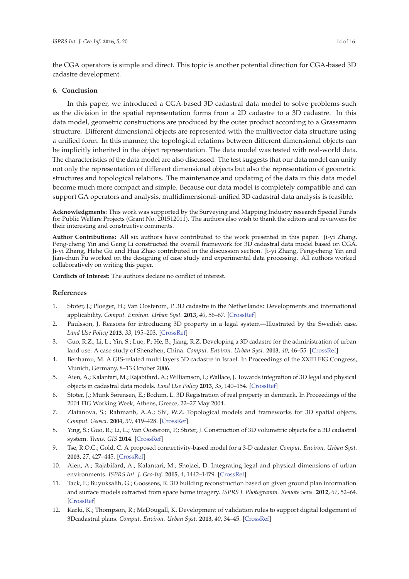the CGA operators is simple and direct. This topic is another potential direction for CGA-based 3D cadastre development.

## **6. Conclusion**

In this paper, we introduced a CGA-based 3D cadastral data model to solve problems such as the division in the spatial representation forms from a 2D cadastre to a 3D cadastre. In this data model, geometric constructions are produced by the outer product according to a Grassmann structure. Different dimensional objects are represented with the multivector data structure using a unified form. In this manner, the topological relations between different dimensional objects can be implicitly inherited in the object representation. The data model was tested with real-world data. The characteristics of the data model are also discussed. The test suggests that our data model can unify not only the representation of different dimensional objects but also the representation of geometric structures and topological relations. The maintenance and updating of the data in this data model become much more compact and simple. Because our data model is completely compatible and can support GA operators and analysis, multidimensional-unified 3D cadastral data analysis is feasible.

**Acknowledgments:** This work was supported by the Surveying and Mapping Industry research Special Funds for Public Welfare Projects (Grant No. 201512011). The authors also wish to thank the editors and reviewers for their interesting and constructive comments.

**Author Contributions:** All six authors have contributed to the work presented in this paper. Ji-yi Zhang, Peng-cheng Yin and Gang Li constructed the overall framework for 3D cadastral data model based on CGA. Ji-yi Zhang, Hehe Gu and Hua Zhao contributed in the discussion section. Ji-yi Zhang, Peng-cheng Yin and Jian-chun Fu worked on the designing of case study and experimental data processing. All authors worked collaboratively on writing this paper.

**Conflicts of Interest:** The authors declare no conflict of interest.

## **References**

- 1. Stoter, J.; Ploeger, H.; Van Oosterom, P. 3D cadastre in the Netherlands: Developments and international applicability. *Comput. Environ. Urban Syst.* **2013**, *40*, 56–67. [CrossRef]
- 2. Paulsson, J. Reasons for introducing 3D property in a legal system—Illustrated by the Swedish case. *Land Use Policy* **2013**, *33*, 195–203. [CrossRef]
- 3. Guo, R.Z.; Li, L.; Yin, S.; Luo, P.; He, B.; Jiang, R.Z. Developing a 3D cadastre for the administration of urban land use: A case study of Shenzhen, China. *Comput. Environ. Urban Syst.* **2013**, *40*, 46–55. [CrossRef]
- 4. Benhamu, M. A GIS-related multi layers 3D cadastre in Israel. In Proceedings of the XXIII FIG Congress, Munich, Germany, 8–13 October 2006.
- 5. Aien, A.; Kalantari, M.; Rajabifard, A.; Williamson, I.; Wallace, J. Towards integration of 3D legal and physical objects in cadastral data models. *Land Use Policy* **2013**, *35*, 140–154. [CrossRef]
- 6. Stoter, J.; Munk Sørensen, E.; Bodum, L. 3D Registration of real property in denmark. In Proceedings of the 2004 FIG Working Week, Athens, Greece, 22–27 May 2004.
- 7. Zlatanova, S.; Rahmanb, A.A.; Shi, W.Z. Topological models and frameworks for 3D spatial objects. *Comput. Geosci.* **2004**, *30*, 419–428. [CrossRef]
- 8. Ying, S.; Guo, R.; Li, L.; Van Oosterom, P.; Stoter, J. Construction of 3D volumetric objects for a 3D cadastral system. *Trans. GIS* **2014**. [CrossRef]
- 9. Tse, R.O.C.; Gold, C. A proposed connectivity-based model for a 3-D cadaster. *Comput. Environ. Urban Syst.* **2003**, *27*, 427–445. [CrossRef]
- 10. Aien, A.; Rajabifard, A.; Kalantari, M.; Shojaei, D. Integrating legal and physical dimensions of urban environments. *ISPRS Int. J. Geo-Inf.* **2015**, *4*, 1442–1479. [CrossRef]
- 11. Tack, F.; Buyuksalih, G.; Goossens, R. 3D building reconstruction based on given ground plan information and surface models extracted from space borne imagery. *ISPRS J. Photogramm. Remote Sens.* **2012**, *67*, 52–64. [CrossRef]
- 12. Karki, K.; Thompson, R.; McDougall, K. Development of validation rules to support digital lodgement of 3Dcadastral plans. *Comput. Environ. Urban Syst.* **2013**, *40*, 34–45. [CrossRef]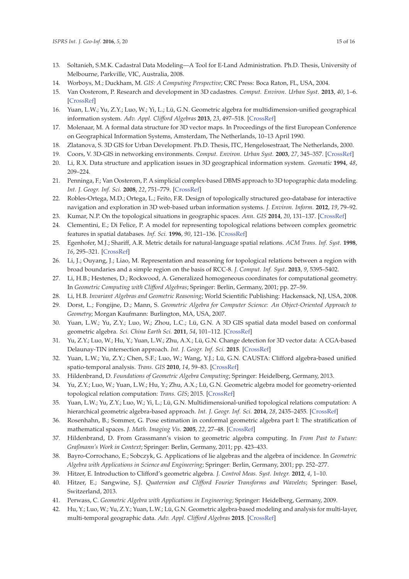- 13. Soltanieh, S.M.K. Cadastral Data Modeling—A Tool for E-Land Administration. Ph.D. Thesis, University of Melbourne, Parkville, VIC, Australia, 2008.
- 14. Worboys, M.; Duckham, M. *GIS: A Computing Perspective*; CRC Press: Boca Raton, FL, USA, 2004.
- 15. Van Oosterom, P. Research and development in 3D cadastres. *Comput. Environ. Urban Syst.* **2013**, *40*, 1–6. [CrossRef]
- 16. Yuan, L.W.; Yu, Z.Y.; Luo, W.; Yi, L.; Lü, G.N. Geometric algebra for multidimension-unified geographical information system. *Adv. Appl. Clifford Algebras* **2013**, *23*, 497–518. [CrossRef]
- 17. Molenaar, M. A formal data structure for 3D vector maps. In Proceedings of the first European Conference on Geographical Information Systems, Amsterdam, The Netherlands, 10–13 April 1990.
- 18. Zlatanova, S. 3D GIS for Urban Development. Ph.D. Thesis, ITC, Hengelosestraat, The Netherlands, 2000.
- 19. Coors, V. 3D-GIS in networking environments. *Comput. Environ. Urban Syst.* **2003**, *27*, 345–357. [CrossRef]
- 20. Li, R.X. Data structure and application issues in 3D geographical information system. *Geomatic* **1994**, *48*, 209–224.
- 21. Penninga, F.; Van Oosterom, P. A simplicial complex-based DBMS approach to 3D topographic data modeling. *Int. J. Geogr. Inf. Sci.* **2008**, *22*, 751–779. [CrossRef]
- 22. Robles-Ortega, M.D.; Ortega, L.; Feito, F.R. Design of topologically structured geo-database for interactive navigation and exploration in 3D web-based urban information systems. *J. Environ. Inform.* **2012**, *19*, 79–92.
- 23. Kumar, N.P. On the topological situations in geographic spaces. *Ann. GIS* **2014**, *20*, 131–137. [CrossRef]
- 24. Clementini, E.; Di Felice, P. A model for representing topological relations between complex geometric features in spatial databases. *Inf. Sci.* **1996**, *90*, 121–136. [CrossRef]
- 25. Egenhofer, M.J.; Shariff, A.R. Metric details for natural-language spatial relations. *ACM Trans. Inf. Syst.* **1998**, *16*, 295–321. [CrossRef]
- 26. Li, J.; Ouyang, J.; Liao, M. Representation and reasoning for topological relations between a region with broad boundaries and a simple region on the basis of RCC-8. *J. Comput. Inf. Syst.* **2013**, *9*, 5395–5402.
- 27. Li, H.B.; Hestenes, D.; Rockwood, A. Generalized homogeneous coordinates for computational geometry. In *Geometric Computing with Clifford Algebras*; Springer: Berlin, Germany, 2001; pp. 27–59.
- 28. Li, H.B. *Invariant Algebras and Geometric Reasoning*; World Scientific Publishing: Hackensack, NJ, USA, 2008.
- 29. Dorst, L.; Fongijne, D.; Mann, S. *Geometric Algebra for Computer Science: An Object-Oriented Approach to Geometry*; Morgan Kaufmann: Burlington, MA, USA, 2007.
- 30. Yuan, L.W.; Yu, Z.Y.; Luo, W.; Zhou, L.C.; Lü, G.N. A 3D GIS spatial data model based on conformal geometric algebra. *Sci. China Earth Sci.* **2011**, *54*, 101–112. [CrossRef]
- 31. Yu, Z.Y.; Luo, W.; Hu, Y.; Yuan, L.W.; Zhu, A.X.; Lü, G.N. Change detection for 3D vector data: A CGA-based Delaunay-TIN intersection approach. *Int. J. Geogr. Inf. Sci.* **2015**. [CrossRef]
- 32. Yuan, L.W.; Yu, Z.Y.; Chen, S.F.; Luo, W.; Wang, Y.J.; Lü, G.N. CAUSTA: Clifford algebra-based unified spatio-temporal analysis. *Trans. GIS* **2010**, *14*, 59–83. [CrossRef]
- 33. Hildenbrand, D. *Foundations of Geometric Algebra Computing*; Springer: Heidelberg, Germany, 2013.
- 34. Yu, Z.Y.; Luo, W.; Yuan, L.W.; Hu, Y.; Zhu, A.X.; Lü, G.N. Geometric algebra model for geometry-oriented topological relation computation: *Trans. GIS*; 2015. [CrossRef]
- 35. Yuan, L.W.; Yu, Z.Y.; Luo, W.; Yi, L.; Lü, G.N. Multidimensional-unified topological relations computation: A hierarchical geometric algebra-based approach. *Int. J. Geogr. Inf. Sci.* **2014**, *28*, 2435–2455. [CrossRef]
- 36. Rosenhahn, B.; Sommer, G. Pose estimation in conformal geometric algebra part I: The stratification of mathematical spaces. *J. Math. Imaging Vis.* **2005**, *22*, 27–48. [CrossRef]
- 37. Hildenbrand, D. From Grassmann's vision to geometric algebra computing. In *From Past to Future: Graßmann's Work in Context*; Springer: Berlin, Germany, 2011; pp. 423–433.
- 38. Bayro-Corrochano, E.; Sobczyk, G. Applications of lie algebras and the algebra of incidence. In *Geometric Algebra with Applications in Science and Engineering*; Springer: Berlin, Germany, 2001; pp. 252–277.
- 39. Hitzer, E. Introduction to Clifford's geometric algebra. *J. Control Meas. Syst. Integr.* **2012**, *4*, 1–10.
- 40. Hitzer, E.; Sangwine, S.J. *Quaternion and Clifford Fourier Transforms and Wavelets*; Springer: Basel, Switzerland, 2013.
- 41. Perwass, C. *Geometric Algebra with Applications in Engineering*; Springer: Heidelberg, Germany, 2009.
- 42. Hu, Y.; Luo, W.; Yu, Z.Y.; Yuan, L.W.; Lü, G.N. Geometric algebra-based modeling and analysis for multi-layer, multi-temporal geographic data. *Adv. Appl. Clifford Algebras* **2015**. [CrossRef]